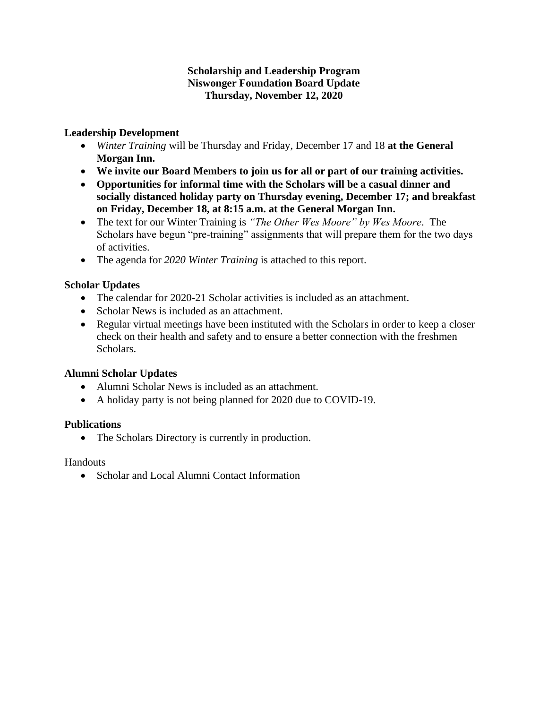### **Scholarship and Leadership Program Niswonger Foundation Board Update Thursday, November 12, 2020**

### **Leadership Development**

- *Winter Training* will be Thursday and Friday, December 17 and 18 **at the General Morgan Inn.**
- **We invite our Board Members to join us for all or part of our training activities.**
- **Opportunities for informal time with the Scholars will be a casual dinner and socially distanced holiday party on Thursday evening, December 17; and breakfast on Friday, December 18, at 8:15 a.m. at the General Morgan Inn.**
- The text for our Winter Training is *"The Other Wes Moore" by Wes Moore*. The Scholars have begun "pre-training" assignments that will prepare them for the two days of activities.
- The agenda for *2020 Winter Training* is attached to this report.

### **Scholar Updates**

- The calendar for 2020-21 Scholar activities is included as an attachment.
- Scholar News is included as an attachment.
- Regular virtual meetings have been instituted with the Scholars in order to keep a closer check on their health and safety and to ensure a better connection with the freshmen Scholars.

### **Alumni Scholar Updates**

- Alumni Scholar News is included as an attachment.
- A holiday party is not being planned for 2020 due to COVID-19.

### **Publications**

• The Scholars Directory is currently in production.

### Handouts

• Scholar and Local Alumni Contact Information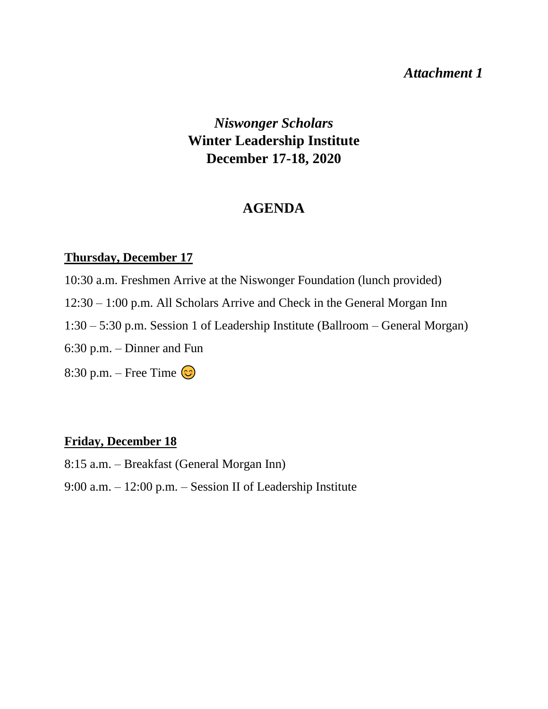## *Attachment 1*

*Niswonger Scholars* **Winter Leadership Institute December 17-18, 2020**

## **AGENDA**

## **Thursday, December 17**

- 10:30 a.m. Freshmen Arrive at the Niswonger Foundation (lunch provided)
- 12:30 1:00 p.m. All Scholars Arrive and Check in the General Morgan Inn
- 1:30 5:30 p.m. Session 1 of Leadership Institute (Ballroom General Morgan)
- 6:30 p.m. Dinner and Fun
- 8:30 p.m. Free Time  $\odot$

## **Friday, December 18**

- 8:15 a.m. Breakfast (General Morgan Inn)
- 9:00 a.m. 12:00 p.m. Session II of Leadership Institute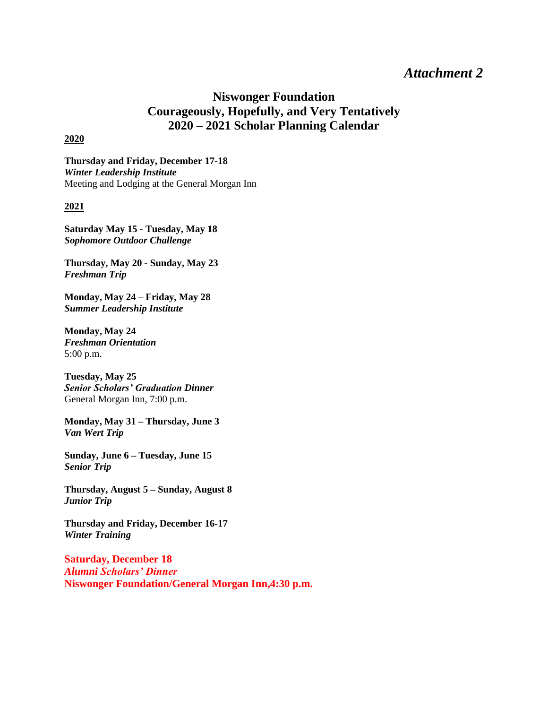## *Attachment 2*

## **Niswonger Foundation Courageously, Hopefully, and Very Tentatively 2020 – 2021 Scholar Planning Calendar**

#### **2020**

**Thursday and Friday, December 17-18** *Winter Leadership Institute* Meeting and Lodging at the General Morgan Inn

#### **2021**

**Saturday May 15 - Tuesday, May 18** *Sophomore Outdoor Challenge*

**Thursday, May 20 - Sunday, May 23** *Freshman Trip*

**Monday, May 24 – Friday, May 28** *Summer Leadership Institute*

**Monday, May 24** *Freshman Orientation* 5:00 p.m.

**Tuesday, May 25** *Senior Scholars' Graduation Dinner* General Morgan Inn, 7:00 p.m.

**Monday, May 31 – Thursday, June 3** *Van Wert Trip*

**Sunday, June 6 – Tuesday, June 15** *Senior Trip*

**Thursday, August 5 – Sunday, August 8** *Junior Trip* 

**Thursday and Friday, December 16-17** *Winter Training*

**Saturday, December 18** *Alumni Scholars' Dinner* **Niswonger Foundation/General Morgan Inn,4:30 p.m.**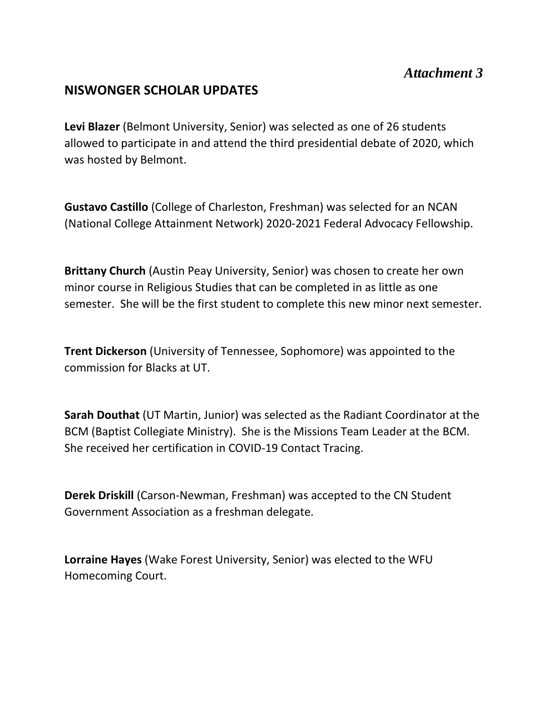## **NISWONGER SCHOLAR UPDATES**

**Levi Blazer** (Belmont University, Senior) was selected as one of 26 students allowed to participate in and attend the third presidential debate of 2020, which was hosted by Belmont.

**Gustavo Castillo** (College of Charleston, Freshman) was selected for an NCAN (National College Attainment Network) 2020-2021 Federal Advocacy Fellowship.

**Brittany Church** (Austin Peay University, Senior) was chosen to create her own minor course in Religious Studies that can be completed in as little as one semester. She will be the first student to complete this new minor next semester.

**Trent Dickerson** (University of Tennessee, Sophomore) was appointed to the commission for Blacks at UT.

**Sarah Douthat** (UT Martin, Junior) was selected as the Radiant Coordinator at the BCM (Baptist Collegiate Ministry). She is the Missions Team Leader at the BCM. She received her certification in COVID-19 Contact Tracing.

**Derek Driskill** (Carson-Newman, Freshman) was accepted to the CN Student Government Association as a freshman delegate.

**Lorraine Hayes** (Wake Forest University, Senior) was elected to the WFU Homecoming Court.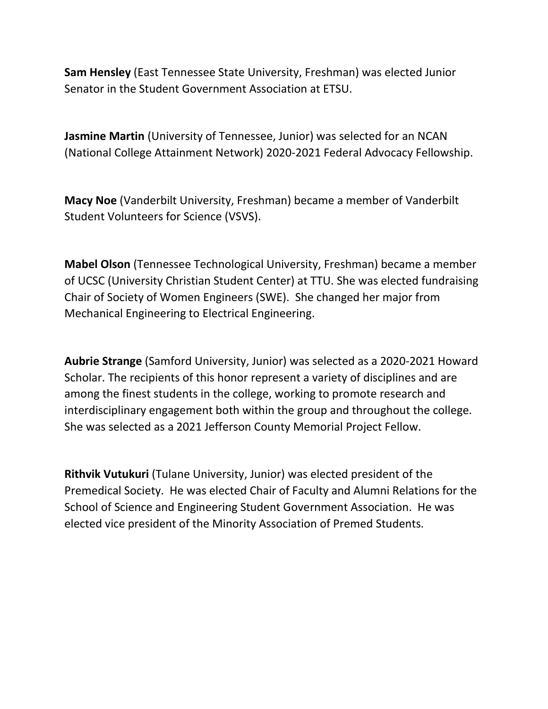**Sam Hensley** (East Tennessee State University, Freshman) was elected Junior Senator in the Student Government Association at ETSU.

**Jasmine Martin** (University of Tennessee, Junior) was selected for an NCAN (National College Attainment Network) 2020-2021 Federal Advocacy Fellowship.

**Macy Noe** (Vanderbilt University, Freshman) became a member of Vanderbilt Student Volunteers for Science (VSVS).

**Mabel Olson** (Tennessee Technological University, Freshman) became a member of UCSC (University Christian Student Center) at TTU. She was elected fundraising Chair of Society of Women Engineers (SWE). She changed her major from Mechanical Engineering to Electrical Engineering.

**Aubrie Strange** (Samford University, Junior) was selected as a 2020-2021 Howard Scholar. The recipients of this honor represent a variety of disciplines and are among the finest students in the college, working to promote research and interdisciplinary engagement both within the group and throughout the college. She was selected as a 2021 Jefferson County Memorial Project Fellow.

**Rithvik Vutukuri** (Tulane University, Junior) was elected president of the Premedical Society. He was elected Chair of Faculty and Alumni Relations for the School of Science and Engineering Student Government Association. He was elected vice president of the Minority Association of Premed Students.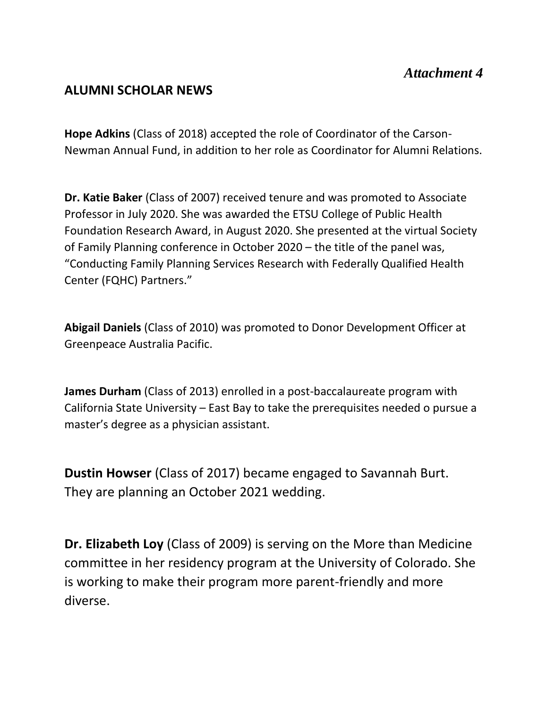## **ALUMNI SCHOLAR NEWS**

**Hope Adkins** (Class of 2018) accepted the role of Coordinator of the Carson-Newman Annual Fund, in addition to her role as Coordinator for Alumni Relations.

**Dr. Katie Baker** (Class of 2007) received tenure and was promoted to Associate Professor in July 2020. She was awarded the ETSU College of Public Health Foundation Research Award, in August 2020. She presented at the virtual Society of Family Planning conference in October 2020 – the title of the panel was, "Conducting Family Planning Services Research with Federally Qualified Health Center (FQHC) Partners."

**Abigail Daniels** (Class of 2010) was promoted to Donor Development Officer at Greenpeace Australia Pacific.

**James Durham** (Class of 2013) enrolled in a post-baccalaureate program with California State University – East Bay to take the prerequisites needed o pursue a master's degree as a physician assistant.

**Dustin Howser** (Class of 2017) became engaged to Savannah Burt. They are planning an October 2021 wedding.

**Dr. Elizabeth Loy** (Class of 2009) is serving on the More than Medicine committee in her residency program at the University of Colorado. She is working to make their program more parent-friendly and more diverse.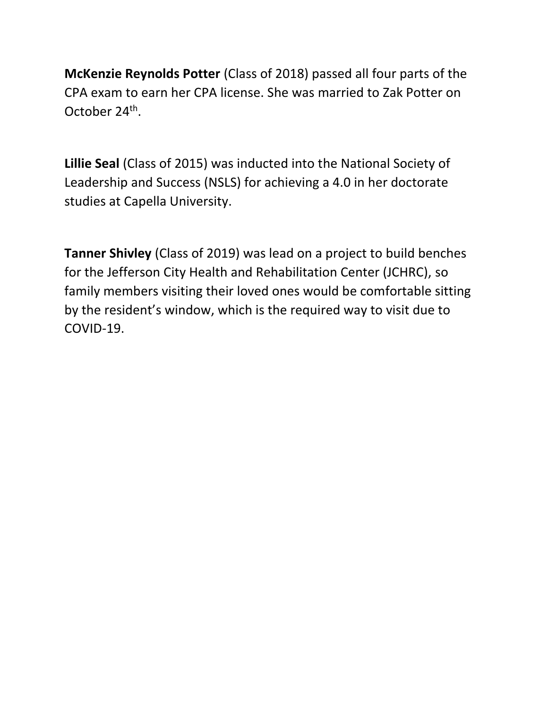**McKenzie Reynolds Potter** (Class of 2018) passed all four parts of the CPA exam to earn her CPA license. She was married to Zak Potter on October 24<sup>th</sup>.

**Lillie Seal** (Class of 2015) was inducted into the National Society of Leadership and Success (NSLS) for achieving a 4.0 in her doctorate studies at Capella University.

**Tanner Shivley** (Class of 2019) was lead on a project to build benches for the Jefferson City Health and Rehabilitation Center (JCHRC), so family members visiting their loved ones would be comfortable sitting by the resident's window, which is the required way to visit due to COVID-19.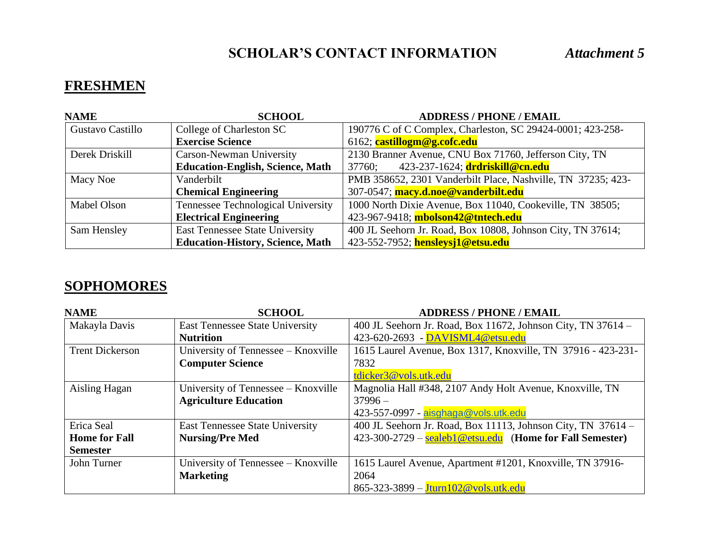# **FRESHMEN**

| <b>NAME</b>      | <b>SCHOOL</b>                             | <b>ADDRESS / PHONE / EMAIL</b>                               |
|------------------|-------------------------------------------|--------------------------------------------------------------|
| Gustavo Castillo | College of Charleston SC                  | 190776 C of C Complex, Charleston, SC 29424-0001; 423-258-   |
|                  | <b>Exercise Science</b>                   | 6162; castillogm@g.cofc.edu                                  |
| Derek Driskill   | <b>Carson-Newman University</b>           | 2130 Branner Avenue, CNU Box 71760, Jefferson City, TN       |
|                  | <b>Education-English, Science, Math</b>   | 423-237-1624; drdriskill@cn.edu<br>37760;                    |
| Macy Noe         | Vanderbilt                                | PMB 358652, 2301 Vanderbilt Place, Nashville, TN 37235; 423- |
|                  | <b>Chemical Engineering</b>               | 307-0547; macy.d.noe@vanderbilt.edu                          |
| Mabel Olson      | <b>Tennessee Technological University</b> | 1000 North Dixie Avenue, Box 11040, Cookeville, TN 38505;    |
|                  | <b>Electrical Engineering</b>             | 423-967-9418; mbolson42@tntech.edu                           |
| Sam Hensley      | <b>East Tennessee State University</b>    | 400 JL Seehorn Jr. Road, Box 10808, Johnson City, TN 37614;  |
|                  | <b>Education-History, Science, Math</b>   | 423-552-7952; hensleysj1@etsu.edu                            |

## **SOPHOMORES**

| <b>NAME</b>            | <b>SCHOOL</b>                          | <b>ADDRESS / PHONE / EMAIL</b>                               |
|------------------------|----------------------------------------|--------------------------------------------------------------|
| Makayla Davis          | <b>East Tennessee State University</b> | 400 JL Seehorn Jr. Road, Box 11672, Johnson City, TN 37614 - |
|                        | <b>Nutrition</b>                       | 423-620-2693 - DAVISML4@etsu.edu                             |
| <b>Trent Dickerson</b> | University of Tennessee – Knoxville    | 1615 Laurel Avenue, Box 1317, Knoxville, TN 37916 - 423-231- |
|                        | <b>Computer Science</b>                | 7832                                                         |
|                        |                                        | tdicker3@vols.utk.edu                                        |
| Aisling Hagan          | University of Tennessee – Knoxville    | Magnolia Hall #348, 2107 Andy Holt Avenue, Knoxville, TN     |
|                        | <b>Agriculture Education</b>           | $37996-$                                                     |
|                        |                                        | 423-557-0997 - aisghaga@vols.utk.edu                         |
| Erica Seal             | <b>East Tennessee State University</b> | 400 JL Seehorn Jr. Road, Box 11113, Johnson City, TN 37614 - |
| <b>Home for Fall</b>   | <b>Nursing/Pre Med</b>                 | $423-300-2729$ – sealeb1@etsu.edu (Home for Fall Semester)   |
| <b>Semester</b>        |                                        |                                                              |
| John Turner            | University of Tennessee – Knoxville    | 1615 Laurel Avenue, Apartment #1201, Knoxville, TN 37916-    |
|                        | <b>Marketing</b>                       | 2064                                                         |
|                        |                                        | 865-323-3899 - Jturn102@vols.utk.edu                         |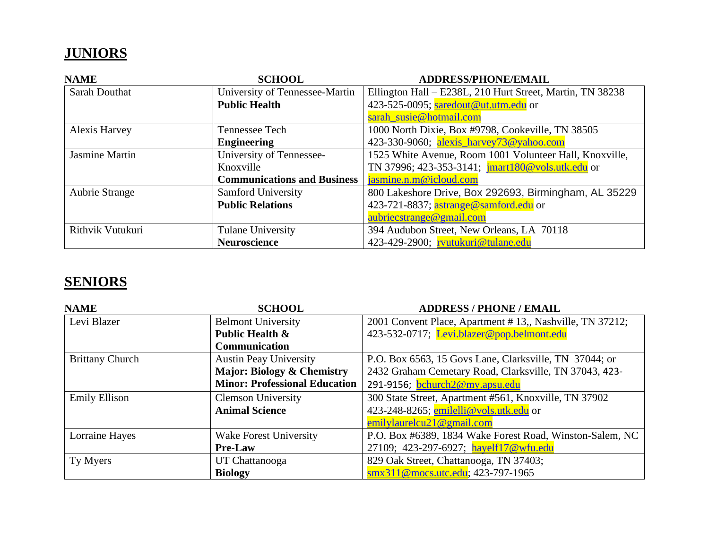# **JUNIORS**

| <b>NAME</b>           | <b>SCHOOL</b>                      | <b>ADDRESS/PHONE/EMAIL</b>                                |
|-----------------------|------------------------------------|-----------------------------------------------------------|
| <b>Sarah Douthat</b>  | University of Tennessee-Martin     | Ellington Hall – E238L, 210 Hurt Street, Martin, TN 38238 |
|                       | <b>Public Health</b>               | 423-525-0095; saredout@ut.utm.edu or                      |
|                       |                                    | sarah_susie@hotmail.com                                   |
| Alexis Harvey         | Tennessee Tech                     | 1000 North Dixie, Box #9798, Cookeville, TN 38505         |
|                       | <b>Engineering</b>                 | 423-330-9060; alexis_harvey73@yahoo.com                   |
| <b>Jasmine Martin</b> | University of Tennessee-           | 1525 White Avenue, Room 1001 Volunteer Hall, Knoxville,   |
|                       | Knoxville                          | TN 37996; 423-353-3141; jmart180@vols.utk.edu or          |
|                       | <b>Communications and Business</b> | jasmine.n.m@icloud.com                                    |
| <b>Aubrie Strange</b> | <b>Samford University</b>          | 800 Lakeshore Drive, Box 292693, Birmingham, AL 35229     |
|                       | <b>Public Relations</b>            | 423-721-8837; astrange@samford.edu or                     |
|                       |                                    | aubriecstrange@gmail.com                                  |
| Rithvik Vutukuri      | <b>Tulane University</b>           | 394 Audubon Street, New Orleans, LA 70118                 |
|                       | <b>Neuroscience</b>                | 423-429-2900; rvutukuri@tulane.edu                        |

# **SENIORS**

| <b>NAME</b>            | <b>SCHOOL</b>                         | <b>ADDRESS / PHONE / EMAIL</b>                           |
|------------------------|---------------------------------------|----------------------------------------------------------|
| Levi Blazer            | <b>Belmont University</b>             | 2001 Convent Place, Apartment #13,, Nashville, TN 37212; |
|                        | Public Health &                       | 423-532-0717; Levi.blazer@pop.belmont.edu                |
|                        | <b>Communication</b>                  |                                                          |
| <b>Brittany Church</b> | <b>Austin Peay University</b>         | P.O. Box 6563, 15 Govs Lane, Clarksville, TN 37044; or   |
|                        | <b>Major: Biology &amp; Chemistry</b> | 2432 Graham Cemetary Road, Clarksville, TN 37043, 423-   |
|                        | <b>Minor: Professional Education</b>  | 291-9156; bchurch2@my.apsu.edu                           |
| <b>Emily Ellison</b>   | <b>Clemson University</b>             | 300 State Street, Apartment #561, Knoxville, TN 37902    |
|                        | <b>Animal Science</b>                 | 423-248-8265; emilelli@vols.utk.edu or                   |
|                        |                                       | emilylaurelcu $21@$ gmail.com                            |
| Lorraine Hayes         | <b>Wake Forest University</b>         | P.O. Box #6389, 1834 Wake Forest Road, Winston-Salem, NC |
|                        | <b>Pre-Law</b>                        | 27109; 423-297-6927; hayelf17@wfu.edu                    |
| Ty Myers               | UT Chattanooga                        | 829 Oak Street, Chattanooga, TN 37403;                   |
|                        | <b>Biology</b>                        | smx311@mocs.utc.edu; 423-797-1965                        |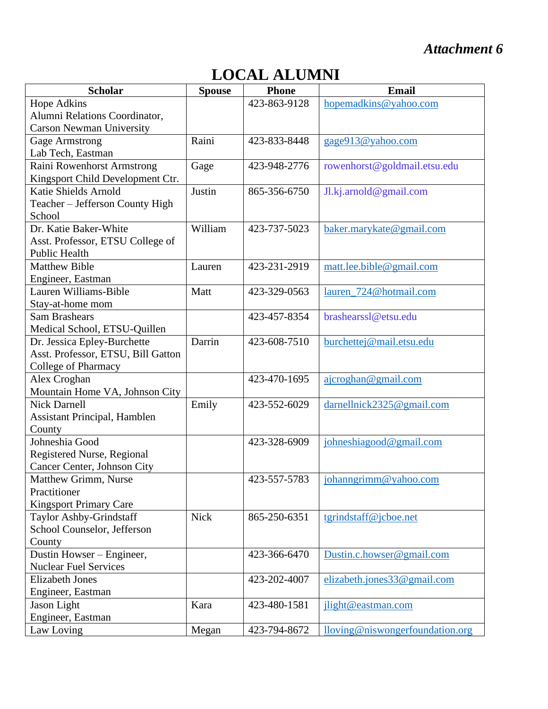# *Attachment 6*

# **LOCAL ALUMNI**

| <b>Scholar</b>                      | <b>Spouse</b> | <b>Phone</b> | <b>Email</b>                    |
|-------------------------------------|---------------|--------------|---------------------------------|
| <b>Hope Adkins</b>                  |               | 423-863-9128 | hopemadkins@yahoo.com           |
| Alumni Relations Coordinator,       |               |              |                                 |
| <b>Carson Newman University</b>     |               |              |                                 |
| <b>Gage Armstrong</b>               | Raini         | 423-833-8448 | gage913@yahoo.com               |
| Lab Tech, Eastman                   |               |              |                                 |
| Raini Rowenhorst Armstrong          | Gage          | 423-948-2776 | rowenhorst@goldmail.etsu.edu    |
| Kingsport Child Development Ctr.    |               |              |                                 |
| Katie Shields Arnold                | Justin        | 865-356-6750 | Jl.kj.arnold@gmail.com          |
| Teacher - Jefferson County High     |               |              |                                 |
| School                              |               |              |                                 |
| Dr. Katie Baker-White               | William       | 423-737-5023 | baker.marykate@gmail.com        |
| Asst. Professor, ETSU College of    |               |              |                                 |
| Public Health                       |               |              |                                 |
| <b>Matthew Bible</b>                | Lauren        | 423-231-2919 | matt.lee.bible@gmail.com        |
| Engineer, Eastman                   |               |              |                                 |
| Lauren Williams-Bible               | Matt          | 423-329-0563 | lauren 724@hotmail.com          |
| Stay-at-home mom                    |               |              |                                 |
| <b>Sam Brashears</b>                |               | 423-457-8354 | brashearssl@etsu.edu            |
| Medical School, ETSU-Quillen        |               |              |                                 |
| Dr. Jessica Epley-Burchette         | Darrin        | 423-608-7510 | burchettej@mail.etsu.edu        |
| Asst. Professor, ETSU, Bill Gatton  |               |              |                                 |
| College of Pharmacy                 |               |              |                                 |
| Alex Croghan                        |               | 423-470-1695 | ajcroghan@gmail.com             |
| Mountain Home VA, Johnson City      |               |              |                                 |
| <b>Nick Darnell</b>                 | Emily         | 423-552-6029 | darnellnick2325@gmail.com       |
| <b>Assistant Principal, Hamblen</b> |               |              |                                 |
| County                              |               |              |                                 |
| Johneshia Good                      |               | 423-328-6909 | johneshiagood@gmail.com         |
| Registered Nurse, Regional          |               |              |                                 |
| Cancer Center, Johnson City         |               |              |                                 |
| <b>Matthew Grimm, Nurse</b>         |               | 423-557-5783 | johanngrimm@yahoo.com           |
| Practitioner                        |               |              |                                 |
| <b>Kingsport Primary Care</b>       |               |              |                                 |
| Taylor Ashby-Grindstaff             | <b>Nick</b>   | 865-250-6351 | tgrindstaff@jcboe.net           |
| School Counselor, Jefferson         |               |              |                                 |
| County                              |               |              |                                 |
| Dustin Howser - Engineer,           |               | 423-366-6470 | Dustin.c.howser@gmail.com       |
| <b>Nuclear Fuel Services</b>        |               |              |                                 |
| <b>Elizabeth Jones</b>              |               | 423-202-4007 | elizabeth.jones33@gmail.com     |
| Engineer, Eastman                   |               |              |                                 |
| Jason Light                         | Kara          | 423-480-1581 | jlight@eastman.com              |
| Engineer, Eastman                   |               |              |                                 |
| Law Loving                          | Megan         | 423-794-8672 | lloving@niswongerfoundation.org |